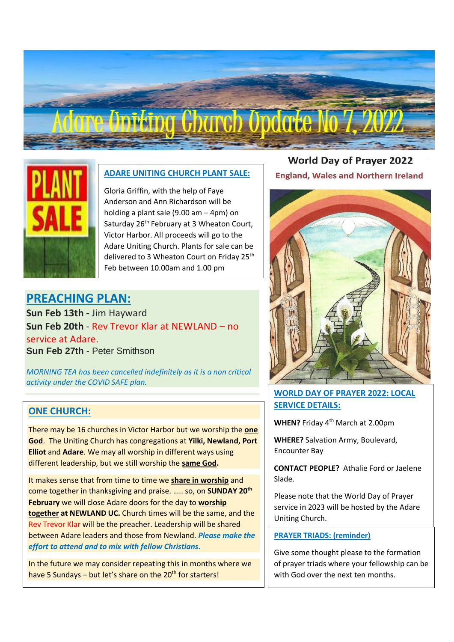# Fing Charch Opdate No 7, 202



#### **ADARE UNITING CHURCH PLANT SALE:**

Gloria Griffin, with the help of Faye Anderson and Ann Richardson will be holding a plant sale (9.00 am – 4pm) on Saturday 26<sup>th</sup> February at 3 Wheaton Court, Victor Harbor. All proceeds will go to the Adare Uniting Church. Plants for sale can be delivered to 3 Wheaton Court on Friday 25<sup>th</sup> Feb between 10.00am and 1.00 pm

# **PREACHING PLAN:**

**Sun Feb 13th -** Jim Hayward **Sun Feb 20th** - Rev Trevor Klar at NEWLAND – no service at Adare. **Sun Feb 27th** - Peter Smithson

*MORNING TEA has been cancelled indefinitely as it is a non critical activity under the COVID SAFE plan.*

#### **ONE CHURCH:**

There may be 16 churches in Victor Harbor but we worship the **one God**. The Uniting Church has congregations at **Yilki, Newland, Port Elliot** and **Adare**. We may all worship in different ways using different leadership, but we still worship the **same God.**

It makes sense that from time to time we **share in worship** and come together in thanksgiving and praise. ….. so, on **SUNDAY 20th February** we will close Adare doors for the day to **worship together at NEWLAND UC.** Church times will be the same, and the Rev Trevor Klar will be the preacher. Leadership will be shared between Adare leaders and those from Newland. *Please make the effort to attend and to mix with fellow Christians.* 

In the future we may consider repeating this in months where we have 5 Sundays – but let's share on the  $20<sup>th</sup>$  for starters!

**World Day of Prayer 2022 England, Wales and Northern Ireland** 



#### **WORLD DAY OF PRAYER 2022: LOCAL SERVICE DETAILS:**

**WHEN?** Friday 4th March at 2.00pm

**WHERE?** Salvation Army, Boulevard, Encounter Bay

**CONTACT PEOPLE?** Athalie Ford or Jaelene Slade.

Please note that the World Day of Prayer service in 2023 will be hosted by the Adare Uniting Church.

#### **PRAYER TRIADS: (reminder)**

Give some thought please to the formation of prayer triads where your fellowship can be with God over the next ten months.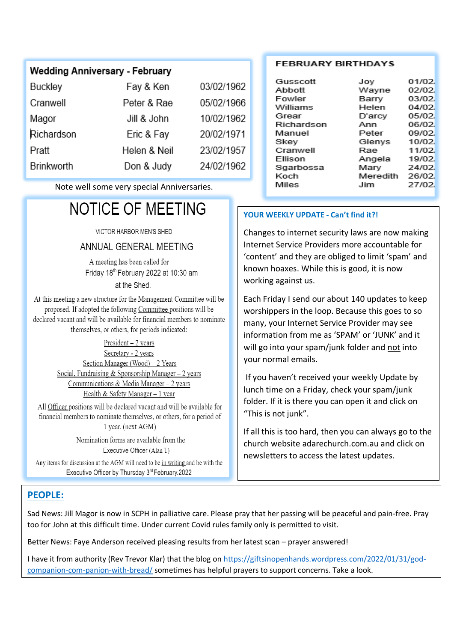# **Wedding Anniversary - February**

| Buckley    | Fay & Ken    | 03/02/1962 |
|------------|--------------|------------|
| Cranwell   | Peter & Rae  | 05/02/1966 |
| Magor      | Jill & John  | 10/02/1962 |
| Richardson | Eric & Fay   | 20/02/1971 |
| Pratt      | Helen & Neil | 23/02/1957 |
| Brinkworth | Don & Judy   | 24/02/1962 |

Note well some very special Anniversaries.

# **NOTICE OF MEETING**

VICTOR HARBOR MEN'S SHED

#### ANNUAL GENERAL MEETING

A meeting has been called for Friday 18th February 2022 at 10:30 am at the Shed.

At this meeting a new structure for the Management Committee will be proposed. If adopted the following Committee positions will be declared vacant and will be available for financial members to nominate themselves, or others, for periods indicated:

> $President - 2 years$ Secretary - 2 years Section Manager (Wood) - 2 Years Social, Fundraising & Sponsorship Manager  $-2$  years Communications & Media Manager - 2 years Health & Safety Manager  $-1$  year

All Officer positions will be declared vacant and will be available for financial members to nominate themselves, or others, for a period of 1 year. (next AGM)

> Nomination forms are available from the Executive Officer (Alan T)

Any items for discussion at the AGM will need to be in writing and be with the Executive Officer by Thursday 3rd February.2022

#### **FEBRUARY BIRTHDAYS**

| Gusscott   | Joy      | 01/02 |
|------------|----------|-------|
| Abbott     | Wayne    | 02/02 |
| Fowler     | Barry    | 03/02 |
| Williams   | Helen    | 04/02 |
| Grear      | D'arcy   | 05/02 |
| Richardson | Ann      | 06/02 |
| Manuel     | Peter    | 09/02 |
| Skev       | Glenys   | 10/02 |
| Cranwell   | Rae      | 11/02 |
| Ellison    | Angela   | 19/02 |
| Sgarbossa  | Mary     | 24/02 |
| Koch       | Meredith | 26/02 |
| Miles      | Jim      | 27/02 |

#### **YOUR WEEKLY UPDATE - Can't find it?!**

Changes to internet security laws are now making Internet Service Providers more accountable for 'content' and they are obliged to limit 'spam' and known hoaxes. While this is good, it is now working against us.

Each Friday I send our about 140 updates to keep worshippers in the loop. Because this goes to so many, your Internet Service Provider may see information from me as 'SPAM' or 'JUNK' and it will go into your spam/junk folder and not into your normal emails.

If you haven't received your weekly Update by lunch time on a Friday, check your spam/junk folder. If it is there you can open it and click on "This is not junk".

If all this is too hard, then you can always go to the church website adarechurch.com.au and click on newsletters to access the latest updates.

## **PEOPLE:**

Sad News: Jill Magor is now in SCPH in palliative care. Please pray that her passing will be peaceful and pain-free. Pray too for John at this difficult time. Under current Covid rules family only is permitted to visit.

Better News: Faye Anderson received pleasing results from her latest scan – prayer answered!

I have it from authority (Rev Trevor Klar) that the blog on [https://giftsinopenhands.wordpress.com/2022/01/31/god](https://giftsinopenhands.wordpress.com/2022/01/31/god-companion-com-panion-with-bread/)[companion-com-panion-with-bread/](https://giftsinopenhands.wordpress.com/2022/01/31/god-companion-com-panion-with-bread/) sometimes has helpful prayers to support concerns. Take a look.